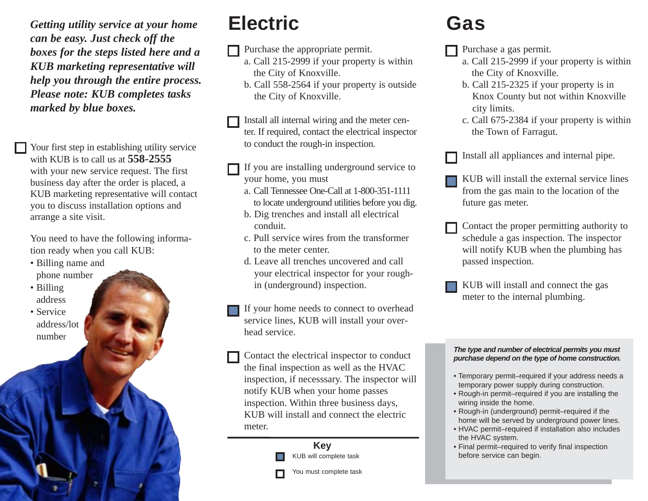*Getting utility service at your home can be easy. Just check off the boxes for the steps listed here and a KUB marketing representative will help you through the entire process. Please note: KUB completes tasks marked by blue boxes.* 

Your first step in establishing utility service with KUB is to call us at **558-2555** with your new service request. The first business day after the order is placed, a KUB marketing representative will contact you to discuss installation options and arrange a site visit.

You need to have the following information ready when you call KUB:

- Billing name and phone number
- Billing address
- Service address/lot number

### **Electric**

Purchase the appropriate permit.

- a. Call 215-2999 if your property is within the City of Knoxville.
- b. Call 558-2564 if your property is outside the City of Knoxville.

Install all internal wiring and the meter center. If required, contact the electrical inspector to conduct the rough-in inspection.

- If you are installing underground service to your home, you must
	- a. Call Tennessee One-Call at 1-800-351-1111 to locate underground utilities before you dig.
	- b. Dig trenches and install all electrical conduit.
	- c. Pull service wires from the transformer to the meter center.
	- d. Leave all trenches uncovered and call your electrical inspector for your roughin (underground) inspection.
- If your home needs to connect to overhead service lines, KUB will install your overhead service.

Contact the electrical inspector to conduct the final inspection as well as the HVAC inspection, if necesssary. The inspector will notify KUB when your home passes inspection. Within three business days, KUB will install and connect the electric meter.

> **Key** KUB will complete task

You must complete task

## **Gas**

- $\Box$  Purchase a gas permit.
	- a. Call 215-2999 if your property is within the City of Knoxville.
	- b. Call 215-2325 if your property is in Knox County but not within Knoxville city limits.
	- c. Call 675-2384 if your property is within the Town of Farragut.

Install all appliances and internal pipe.

- KUB will install the external service lines from the gas main to the location of the future gas meter.
- Contact the proper permitting authority to schedule a gas inspection. The inspector will notify KUB when the plumbing has passed inspection.
- KUB will install and connect the gas meter to the internal plumbing.

### *The type and number of electrical permits you must purchase depend on the type of home construction.*

- Temporary permit–required if your address needs a temporary power supply during construction.
- Rough-in permit–required if you are installing the wiring inside the home.
- Rough-in (underground) permit–required if the home will be served by underground power lines.
- HVAC permit–required if installation also includes the HVAC system.
- Final permit–required to verify final inspection before service can begin.